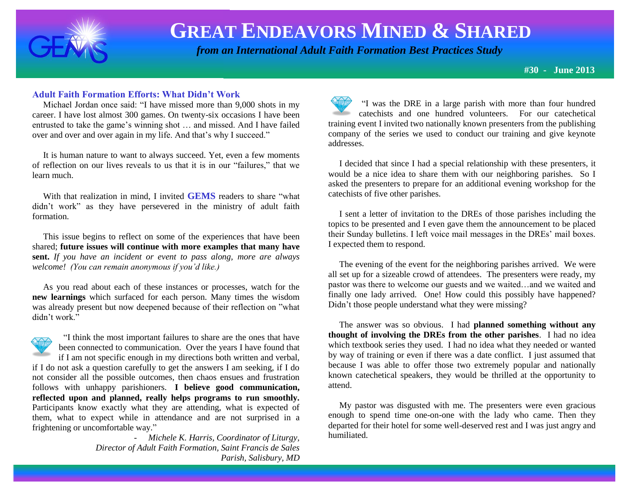

# **GREAT ENDEAVORS MINED & SHARED**

 *from an International Adult Faith Formation Best Practices Study*

**#30 - June 2013**

### **Adult Faith Formation Efforts: What Didn't Work**

 Michael Jordan once said: "I have missed more than 9,000 shots in my career. I have lost almost 300 games. On twenty-six occasions I have been entrusted to take the game's winning shot … and missed. And I have failed over and over and over again in my life. And that's why I succeed."

 It is human nature to want to always succeed. Yet, even a few moments of reflection on our lives reveals to us that it is in our "failures," that we learn much.

 With that realization in mind, I invited **GEMS** readers to share "what didn't work" as they have persevered in the ministry of adult faith formation.

 This issue begins to reflect on some of the experiences that have been shared; **future issues will continue with more examples that many have sent.** *If you have an incident or event to pass along, more are always welcome! (You can remain anonymous if you'd like.)*

 As you read about each of these instances or processes, watch for the **new learnings** which surfaced for each person. Many times the wisdom was already present but now deepened because of their reflection on "what didn't work."



 "I think the most important failures to share are the ones that have been connected to communication. Over the years I have found that if I am not specific enough in my directions both written and verbal,

if I do not ask a question carefully to get the answers I am seeking, if I do not consider all the possible outcomes, then chaos ensues and frustration follows with unhappy parishioners. **I believe good communication, reflected upon and planned, really helps programs to run smoothly.** Participants know exactly what they are attending, what is expected of them, what to expect while in attendance and are not surprised in a frightening or uncomfortable way."

> - *Michele K. Harris, Coordinator of Liturgy, Director of Adult Faith Formation, Saint Francis de Sales Parish, Salisbury, MD*

"I was the DRE in a large parish with more than four hundred catechists and one hundred volunteers. For our catechetical training event I invited two nationally known presenters from the publishing company of the series we used to conduct our training and give keynote addresses.

 I decided that since I had a special relationship with these presenters, it would be a nice idea to share them with our neighboring parishes. So I asked the presenters to prepare for an additional evening workshop for the catechists of five other parishes.

 I sent a letter of invitation to the DREs of those parishes including the topics to be presented and I even gave them the announcement to be placed their Sunday bulletins. I left voice mail messages in the DREs' mail boxes. I expected them to respond.

 The evening of the event for the neighboring parishes arrived. We were all set up for a sizeable crowd of attendees. The presenters were ready, my pastor was there to welcome our guests and we waited…and we waited and finally one lady arrived. One! How could this possibly have happened? Didn't those people understand what they were missing?

 The answer was so obvious. I had **planned something without any thought of involving the DREs from the other parishes**. I had no idea which textbook series they used. I had no idea what they needed or wanted by way of training or even if there was a date conflict. I just assumed that because I was able to offer those two extremely popular and nationally known catechetical speakers, they would be thrilled at the opportunity to attend.

 My pastor was disgusted with me. The presenters were even gracious enough to spend time one-on-one with the lady who came. Then they departed for their hotel for some well-deserved rest and I was just angry and humiliated.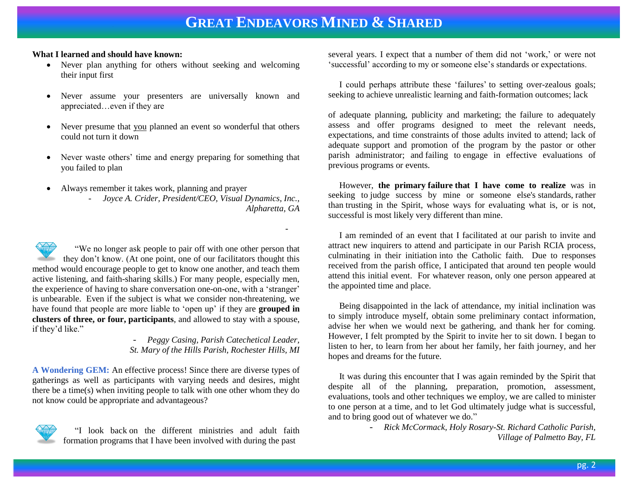-

### **What I learned and should have known:**

- Never plan anything for others without seeking and welcoming their input first
- Never assume your presenters are universally known and appreciated…even if they are
- Never presume that you planned an event so wonderful that others could not turn it down
- Never waste others' time and energy preparing for something that you failed to plan
- Always remember it takes work, planning and prayer
	- *Joyce A. Crider, President/CEO, Visual Dynamics, Inc., Alpharetta, GA*

 "We no longer ask people to pair off with one other person that they don't know. (At one point, one of our facilitators thought this method would encourage people to get to know one another, and teach them active listening, and faith-sharing skills.) For many people, especially men, the experience of having to share conversation one-on-one, with a 'stranger' is unbearable. Even if the subject is what we consider non-threatening, we have found that people are more liable to 'open up' if they are **grouped in clusters of three, or four, participants**, and allowed to stay with a spouse, if they'd like."

- *Peggy Casing, Parish Catechetical Leader, St. Mary of the Hills Parish, Rochester Hills, MI*

**A Wondering GEM:** An effective process! Since there are diverse types of gatherings as well as participants with varying needs and desires, might there be a time(s) when inviting people to talk with one other whom they do not know could be appropriate and advantageous?



 "I look back on the different ministries and adult faith formation programs that I have been involved with during the past

several years. I expect that a number of them did not 'work,' or were not 'successful' according to my or someone else's standards or expectations.

 I could perhaps attribute these 'failures' to setting over-zealous goals; seeking to achieve unrealistic learning and faith-formation outcomes; lack

of adequate planning, publicity and marketing; the failure to adequately assess and offer programs designed to meet the relevant needs, expectations, and time constraints of those adults invited to attend; lack of adequate support and promotion of the program by the pastor or other parish administrator; and failing to engage in effective evaluations of previous programs or events.

 However, **the primary failure that I have come to realize** was in seeking to judge success by mine or someone else's standards, rather than trusting in the Spirit, whose ways for evaluating what is, or is not, successful is most likely very different than mine.

 I am reminded of an event that I facilitated at our parish to invite and attract new inquirers to attend and participate in our Parish RCIA process, culminating in their initiation into the Catholic faith. Due to responses received from the parish office, I anticipated that around ten people would attend this initial event. For whatever reason, only one person appeared at the appointed time and place.

 Being disappointed in the lack of attendance, my initial inclination was to simply introduce myself, obtain some preliminary contact information, advise her when we would next be gathering, and thank her for coming. However, I felt prompted by the Spirit to invite her to sit down. I began to listen to her, to learn from her about her family, her faith journey, and her hopes and dreams for the future.

 It was during this encounter that I was again reminded by the Spirit that despite all of the planning, preparation, promotion, assessment, evaluations, tools and other techniques we employ, we are called to minister to one person at a time, and to let God ultimately judge what is successful, and to bring good out of whatever we do."

> - *Rick McCormack, Holy Rosary-St. Richard Catholic Parish, Village of Palmetto Bay, FL*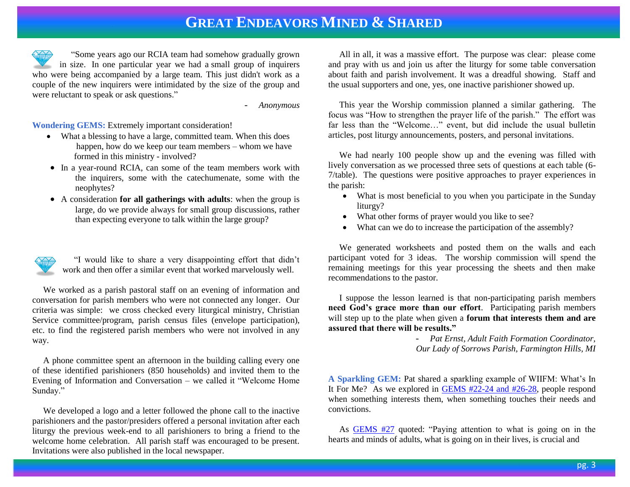### **GREAT ENDEAVORS MINED & SHARED**

 "Some years ago our RCIA team had somehow gradually grown in size. In one particular year we had a small group of inquirers who were being accompanied by a large team. This just didn't work as a couple of the new inquirers were intimidated by the size of the group and were reluctant to speak or ask questions."

- *Anonymous*

#### **Wondering GEMS:** Extremely important consideration!

- What a blessing to have a large, committed team. When this does happen, how do we keep our team members – whom we have formed in this ministry - involved?
- In a year-round RCIA, can some of the team members work with the inquirers, some with the catechumenate, some with the neophytes?
- A consideration **for all gatherings with adults**: when the group is large, do we provide always for small group discussions, rather than expecting everyone to talk within the large group?



 "I would like to share a very disappointing effort that didn't work and then offer a similar event that worked marvelously well.

 We worked as a parish pastoral staff on an evening of information and conversation for parish members who were not connected any longer. Our criteria was simple: we cross checked every liturgical ministry, Christian Service committee/program, parish census files (envelope participation), etc. to find the registered parish members who were not involved in any way.

 A phone committee spent an afternoon in the building calling every one of these identified parishioners (850 households) and invited them to the Evening of Information and Conversation – we called it "Welcome Home Sunday."

 We developed a logo and a letter followed the phone call to the inactive parishioners and the pastor/presiders offered a personal invitation after each liturgy the previous week-end to all parishioners to bring a friend to the welcome home celebration. All parish staff was encouraged to be present. Invitations were also published in the local newspaper.

 All in all, it was a massive effort. The purpose was clear: please come and pray with us and join us after the liturgy for some table conversation about faith and parish involvement. It was a dreadful showing. Staff and the usual supporters and one, yes, one inactive parishioner showed up.

 This year the Worship commission planned a similar gathering. The focus was "How to strengthen the prayer life of the parish." The effort was far less than the "Welcome…" event, but did include the usual bulletin articles, post liturgy announcements, posters, and personal invitations.

 We had nearly 100 people show up and the evening was filled with lively conversation as we processed three sets of questions at each table (6- 7/table). The questions were positive approaches to prayer experiences in the parish:

- What is most beneficial to you when you participate in the Sunday liturgy?
- What other forms of prayer would you like to see?
- What can we do to increase the participation of the assembly?

 We generated worksheets and posted them on the walls and each participant voted for 3 ideas. The worship commission will spend the remaining meetings for this year processing the sheets and then make recommendations to the pastor.

 I suppose the lesson learned is that non-participating parish members **need God's grace more than our effort**. Participating parish members will step up to the plate when given a **forum that interests them and are assured that there will be results."**

> - *Pat Ernst, Adult Faith Formation Coordinator, Our Lady of Sorrows Parish, Farmington Hills, MI*

**A Sparkling GEM:** Pat shared a sparkling example of WIIFM: What's In It For Me? As we explored in [GEMS #22-24 and #26-28,](http://www.janetschaeffler.com/Best-Practices.html) people respond when something interests them, when something touches their needs and convictions.

 As [GEMS #27](http://www.janetschaeffler.com/GEMS__27.pdf) quoted: "Paying attention to what is going on in the hearts and minds of adults, what is going on in their lives, is crucial and